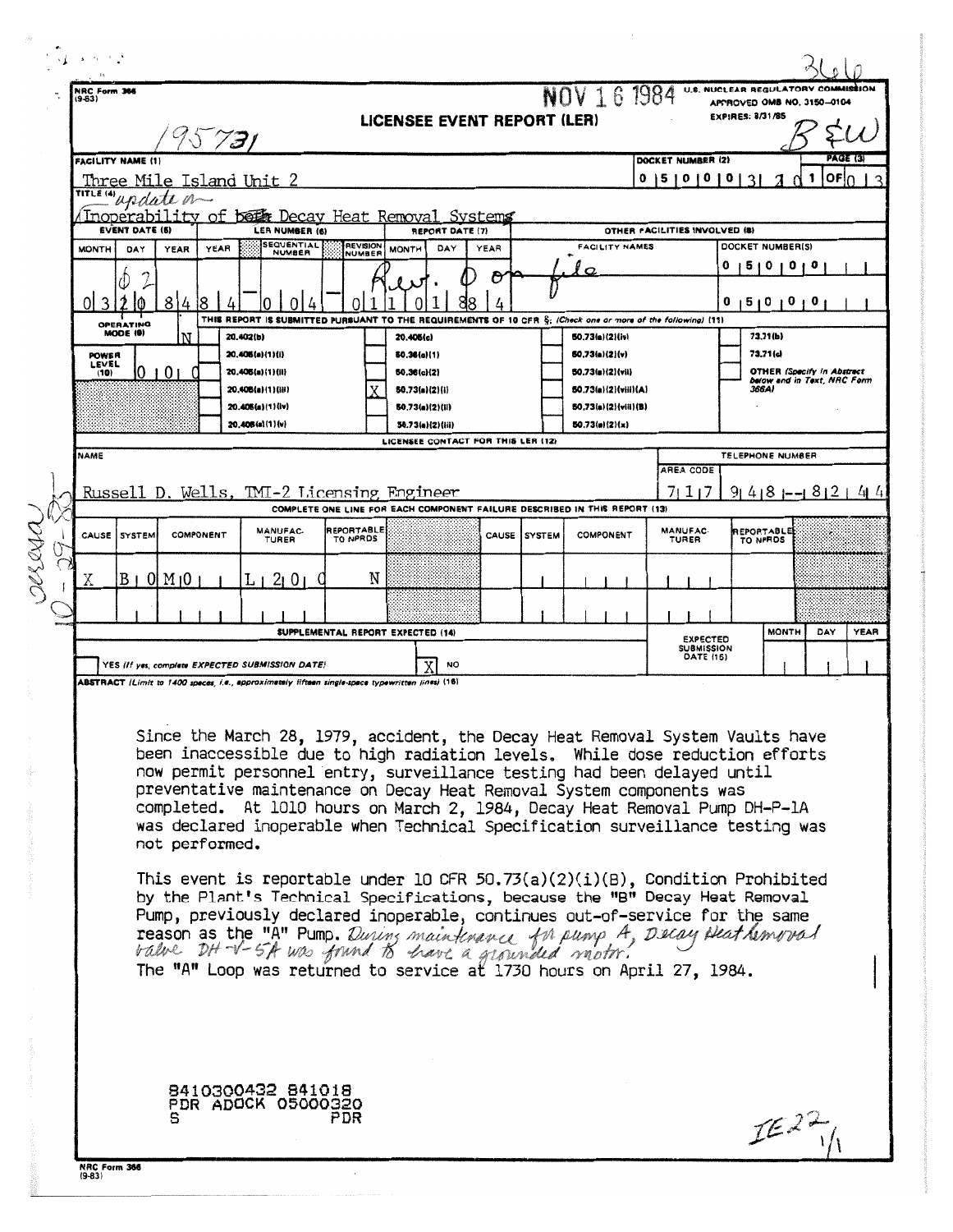|       | ふっしい                                                                                                                                                                   |                                                                                                                                                    |                                 |                                       |                                                                 |                                                        |   |              |                                                                 |                                                   |                                                                  |             |
|-------|------------------------------------------------------------------------------------------------------------------------------------------------------------------------|----------------------------------------------------------------------------------------------------------------------------------------------------|---------------------------------|---------------------------------------|-----------------------------------------------------------------|--------------------------------------------------------|---|--------------|-----------------------------------------------------------------|---------------------------------------------------|------------------------------------------------------------------|-------------|
|       | NRC Form 366<br>$(9-63)$                                                                                                                                               |                                                                                                                                                    |                                 |                                       |                                                                 |                                                        |   |              | NOV 16 1984                                                     |                                                   | U.S. NUCLEAR REGULATORY COMMISSION<br>APPROVED OMB NO, 3150-0104 |             |
|       |                                                                                                                                                                        |                                                                                                                                                    |                                 |                                       |                                                                 | LICENSEE EVENT REPORT (LER)                            |   |              |                                                                 |                                                   | <b>EXPIRES: 8/31/85</b>                                          |             |
|       | 95731<br>FACILITY NAME (1)<br>DOCKET NUMBER (2)                                                                                                                        |                                                                                                                                                    |                                 |                                       |                                                                 |                                                        |   |              | PAGE (3)                                                        |                                                   |                                                                  |             |
|       |                                                                                                                                                                        |                                                                                                                                                    | <u>Three Mile Island Unit 2</u> |                                       |                                                                 |                                                        |   |              |                                                                 | $0 15 1 0 1 0 1 0 1 3 1$                          | <b>OFIO</b>                                                      |             |
|       | TITLE IN update on<br>(Inoperability of beth Decay Heat Removal Systems                                                                                                |                                                                                                                                                    |                                 |                                       |                                                                 |                                                        |   |              |                                                                 |                                                   |                                                                  |             |
|       | <b>EVENT DATE (5)</b><br>LER NUMBER (6)<br><b>SEQUENTIAL</b><br><b>MONTH</b><br>YEAR<br>DAY<br><b>YEAR</b>                                                             |                                                                                                                                                    |                                 |                                       | REVISION                                                        | <b>REPORT DATE (7)</b><br><b>FACILITY NAMES</b>        |   |              |                                                                 | OTHER FACILITIES INVOLVED (8)<br>DOCKET NUMBER(S) |                                                                  |             |
|       | <b>NUMBER</b>                                                                                                                                                          |                                                                                                                                                    |                                 |                                       | <b>MONTH</b><br>DAY<br><b>YEAR</b><br><b>NUMBER</b><br>$\sigma$ |                                                        |   |              | $\mathbf{o}$                                                    | 1510101<br>U                                      |                                                                  |             |
|       | 3                                                                                                                                                                      | ł0                                                                                                                                                 | 81<br>4                         |                                       |                                                                 |                                                        | O |              |                                                                 |                                                   | 15101010                                                         |             |
|       |                                                                                                                                                                        | THIS REPORT IS SUBMITTED PURSUANT TO THE REQUIREMENTS OF 10 CFR §: (Check one or more of the following) (11)<br>OPERATING<br>MODE (9)<br>20.402(b) |                                 |                                       |                                                                 |                                                        |   |              |                                                                 |                                                   |                                                                  |             |
|       | <b>POWER</b>                                                                                                                                                           |                                                                                                                                                    | N                               | 20,406(a)(1)(i)                       |                                                                 | 20.406(c)<br>50.36(c)(1)                               |   |              | 50.73(a)(2)(iv)<br><b>50.73(a)(2)(v)</b>                        |                                                   | 73.71(b)<br>73.71(c)                                             |             |
|       | LEVEL<br>(10)                                                                                                                                                          |                                                                                                                                                    | 10101                           | 20.406(a)(1)(ii)                      |                                                                 | 50.36(c)(2)                                            |   |              | 50.73(a)(2)(vii)                                                |                                                   | <b>OTHER (Specify in Abstract</b><br>below and in Text, NRC Form |             |
|       |                                                                                                                                                                        |                                                                                                                                                    |                                 | 20.406(a)(1)(iii)<br>20.405(a)(1)(iv) |                                                                 | 50.73(a)(2)(i)<br>50,73(a)(2)(li)                      |   |              | 50.73(a)(2)(viii)(A)<br>50.73(a)(2)(viii)(B)                    |                                                   | 366AI                                                            |             |
|       |                                                                                                                                                                        |                                                                                                                                                    |                                 | 20.406(a)(1)(v)                       |                                                                 | 50.73(a)(2)(iii)<br>LICENSEE CONTACT FOR THIS LER (12) |   |              | 50.73(n)(2)(x)                                                  |                                                   |                                                                  |             |
|       | NAME                                                                                                                                                                   |                                                                                                                                                    |                                 |                                       |                                                                 |                                                        |   |              |                                                                 | AREA CODE                                         | TELEPHONE NUMBER                                                 |             |
|       |                                                                                                                                                                        |                                                                                                                                                    |                                 |                                       |                                                                 |                                                        |   |              |                                                                 | 7117                                              | $91418$ 1--1 812 1 41 41                                         |             |
|       | Russell D. Wells, TMI-2 Licensing Engineer<br>COMPLETE ONE LINE FOR EACH COMPONENT FAILURE DESCRIBED IN THIS REPORT (13)                                               |                                                                                                                                                    |                                 |                                       |                                                                 |                                                        |   |              |                                                                 |                                                   |                                                                  |             |
| RRING | CAUSE                                                                                                                                                                  | <b>SYSTEM</b>                                                                                                                                      | COMPONENT                       | MANUFAC-<br>TURER                     | <b>REPORTABLE</b><br>TO NPRDS                                   |                                                        |   | CAUSE SYSTEM | <b>COMPONENT</b>                                                | <b>MANUFAC-</b><br>TURER                          | REPORTABLE<br>TO NPRDS                                           |             |
|       | х                                                                                                                                                                      | $B \perp 0$ M <sub>1</sub> 0                                                                                                                       |                                 | 21 O L C                              | N                                                               |                                                        |   |              |                                                                 |                                                   |                                                                  |             |
|       |                                                                                                                                                                        |                                                                                                                                                    |                                 |                                       |                                                                 |                                                        |   |              |                                                                 |                                                   |                                                                  |             |
|       |                                                                                                                                                                        |                                                                                                                                                    |                                 |                                       |                                                                 |                                                        |   |              |                                                                 |                                                   | <b>MONTH</b><br>DAY                                              | <b>YEAR</b> |
|       | SUPPLEMENTAL REPORT EXPECTED (14)                                                                                                                                      |                                                                                                                                                    |                                 |                                       |                                                                 |                                                        |   |              | <b><i>EXPECTED</i></b><br><b>SUBMISSION</b><br><b>DATE (15)</b> |                                                   |                                                                  |             |
|       | YES (If yes, complete EXPECTED SUBMISSION DATE)<br>ΧI<br><b>NO</b><br>ABSTRACT (Limit to 1400 speces, i.e., approximately fifteen single-space typewritten lines) (16) |                                                                                                                                                    |                                 |                                       |                                                                 |                                                        |   |              |                                                                 |                                                   |                                                                  |             |
|       |                                                                                                                                                                        |                                                                                                                                                    |                                 |                                       |                                                                 |                                                        |   |              |                                                                 |                                                   |                                                                  |             |
|       | Since the March 28, 1979, accident, the Decay Heat Removal System Vaults have                                                                                          |                                                                                                                                                    |                                 |                                       |                                                                 |                                                        |   |              |                                                                 |                                                   |                                                                  |             |
|       | been inaccessible due to high radiation levels. While dose reduction efforts<br>now permit personnel entry, surveillance testing had been delayed until                |                                                                                                                                                    |                                 |                                       |                                                                 |                                                        |   |              |                                                                 |                                                   |                                                                  |             |
|       | preventative maintenance on Decay Heat Removal System components was                                                                                                   |                                                                                                                                                    |                                 |                                       |                                                                 |                                                        |   |              |                                                                 |                                                   |                                                                  |             |
|       | completed. At 1010 hours on March 2, 1984, Decay Heat Removal Pump DH-P-1A<br>was declared inoperable when Technical Specification surveillance testing was            |                                                                                                                                                    |                                 |                                       |                                                                 |                                                        |   |              |                                                                 |                                                   |                                                                  |             |
|       | not performed.                                                                                                                                                         |                                                                                                                                                    |                                 |                                       |                                                                 |                                                        |   |              |                                                                 |                                                   |                                                                  |             |
|       | This event is reportable under 10 CFR 50.73(a)(2)(i)(B), Condition Prohibited                                                                                          |                                                                                                                                                    |                                 |                                       |                                                                 |                                                        |   |              |                                                                 |                                                   |                                                                  |             |
|       | by the Plant's Technical Specifications, because the "B" Decay Heat Removal                                                                                            |                                                                                                                                                    |                                 |                                       |                                                                 |                                                        |   |              |                                                                 |                                                   |                                                                  |             |
|       | Pump, previously declared inoperable, continues out-of-service for the same                                                                                            |                                                                                                                                                    |                                 |                                       |                                                                 |                                                        |   |              |                                                                 |                                                   |                                                                  |             |
|       | reason as the "A" Pump. During maintenance for pump A, Decay Deat hemoved                                                                                              |                                                                                                                                                    |                                 |                                       |                                                                 |                                                        |   |              |                                                                 |                                                   |                                                                  |             |
|       | The "A" Loop was returned to service at 1730 hours on April 27, 1984.                                                                                                  |                                                                                                                                                    |                                 |                                       |                                                                 |                                                        |   |              |                                                                 |                                                   |                                                                  |             |
|       |                                                                                                                                                                        |                                                                                                                                                    |                                 |                                       |                                                                 |                                                        |   |              |                                                                 |                                                   |                                                                  |             |
|       |                                                                                                                                                                        |                                                                                                                                                    |                                 |                                       |                                                                 |                                                        |   |              |                                                                 |                                                   |                                                                  |             |
|       |                                                                                                                                                                        |                                                                                                                                                    |                                 |                                       |                                                                 |                                                        |   |              |                                                                 |                                                   |                                                                  |             |
|       |                                                                                                                                                                        |                                                                                                                                                    |                                 | 8410300432 841018                     |                                                                 |                                                        |   |              |                                                                 |                                                   |                                                                  |             |
|       | PDR ADOCK 05000320<br>PDR                                                                                                                                              |                                                                                                                                                    |                                 |                                       |                                                                 |                                                        |   |              | IEZ2                                                            |                                                   |                                                                  |             |
|       |                                                                                                                                                                        |                                                                                                                                                    |                                 |                                       |                                                                 |                                                        |   |              |                                                                 |                                                   |                                                                  |             |
|       | NRC Form 366<br>$(9-83)$                                                                                                                                               |                                                                                                                                                    |                                 |                                       |                                                                 |                                                        |   |              |                                                                 |                                                   |                                                                  |             |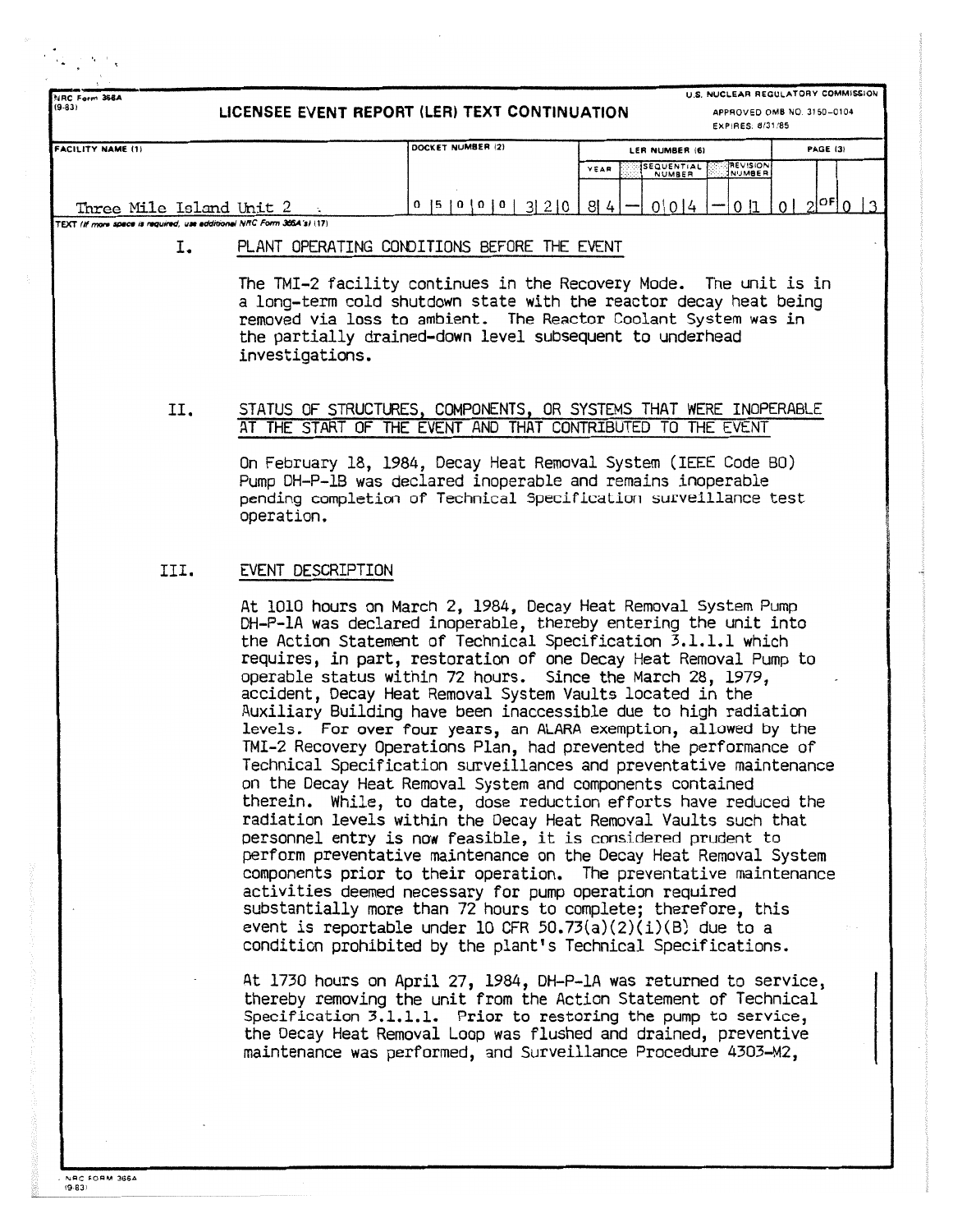|                                                                       |                                                                                                                                  | LICENSEE EVENT REPORT (LER) TEXT CONTINUATION                                                                                                                                                                                                                                                                                                                                                                                                                                                                                                                                                                                                                                                                                                                                                                                                                                                                                                                                                                                                                                                                                                                                                                                                                                                                                                                                                                                                                                                                                                                          |                              |                  | U.S. NUCLEAR REGULATORY COMMISSION<br>APPROVED OMB NO. 3150-0104 |  |  |  |
|-----------------------------------------------------------------------|----------------------------------------------------------------------------------------------------------------------------------|------------------------------------------------------------------------------------------------------------------------------------------------------------------------------------------------------------------------------------------------------------------------------------------------------------------------------------------------------------------------------------------------------------------------------------------------------------------------------------------------------------------------------------------------------------------------------------------------------------------------------------------------------------------------------------------------------------------------------------------------------------------------------------------------------------------------------------------------------------------------------------------------------------------------------------------------------------------------------------------------------------------------------------------------------------------------------------------------------------------------------------------------------------------------------------------------------------------------------------------------------------------------------------------------------------------------------------------------------------------------------------------------------------------------------------------------------------------------------------------------------------------------------------------------------------------------|------------------------------|------------------|------------------------------------------------------------------|--|--|--|
|                                                                       |                                                                                                                                  |                                                                                                                                                                                                                                                                                                                                                                                                                                                                                                                                                                                                                                                                                                                                                                                                                                                                                                                                                                                                                                                                                                                                                                                                                                                                                                                                                                                                                                                                                                                                                                        |                              | EXPIRES: 8/31/85 |                                                                  |  |  |  |
| <b>FACILITY NAME (1)</b>                                              |                                                                                                                                  | DOCKET NUMBER (2)                                                                                                                                                                                                                                                                                                                                                                                                                                                                                                                                                                                                                                                                                                                                                                                                                                                                                                                                                                                                                                                                                                                                                                                                                                                                                                                                                                                                                                                                                                                                                      | LER NUMBER (6)<br>SEQUENTIAL | <b>REVISION</b>  | PAGE (3)                                                         |  |  |  |
|                                                                       |                                                                                                                                  |                                                                                                                                                                                                                                                                                                                                                                                                                                                                                                                                                                                                                                                                                                                                                                                                                                                                                                                                                                                                                                                                                                                                                                                                                                                                                                                                                                                                                                                                                                                                                                        | YEAR<br>NUMBER               | <b>NUMBER</b>    |                                                                  |  |  |  |
| Three Mile Island Unit 2                                              |                                                                                                                                  | 0  5  0  0  0  3  2  0                                                                                                                                                                                                                                                                                                                                                                                                                                                                                                                                                                                                                                                                                                                                                                                                                                                                                                                                                                                                                                                                                                                                                                                                                                                                                                                                                                                                                                                                                                                                                 | 0 0 4<br>8 4                 | 0 1              | $2^{ \mathsf{OF} }$ 0<br>$\Omega$                                |  |  |  |
| TEXT (If more space is required, use edditional NRC Form 366A's) (17) |                                                                                                                                  |                                                                                                                                                                                                                                                                                                                                                                                                                                                                                                                                                                                                                                                                                                                                                                                                                                                                                                                                                                                                                                                                                                                                                                                                                                                                                                                                                                                                                                                                                                                                                                        |                              |                  |                                                                  |  |  |  |
| I.                                                                    | PLANT OPERATING CONDITIONS BEFORE THE EVENT                                                                                      |                                                                                                                                                                                                                                                                                                                                                                                                                                                                                                                                                                                                                                                                                                                                                                                                                                                                                                                                                                                                                                                                                                                                                                                                                                                                                                                                                                                                                                                                                                                                                                        |                              |                  |                                                                  |  |  |  |
|                                                                       | investigations.                                                                                                                  | The TMI-2 facility continues in the Recovery Mode. The unit is in<br>a long-term cold shutdown state with the reactor decay heat being<br>removed via loss to ambient. The Reactor Coolant System was in<br>the partially drained-down level subsequent to underhead                                                                                                                                                                                                                                                                                                                                                                                                                                                                                                                                                                                                                                                                                                                                                                                                                                                                                                                                                                                                                                                                                                                                                                                                                                                                                                   |                              |                  |                                                                  |  |  |  |
| и.                                                                    | STATUS OF STRUCTURES, COMPONENTS, OR SYSTEMS THAT WERE INOPERABLE<br>AT THE START OF THE EVENT AND THAT CONTRIBUTED TO THE EVENT |                                                                                                                                                                                                                                                                                                                                                                                                                                                                                                                                                                                                                                                                                                                                                                                                                                                                                                                                                                                                                                                                                                                                                                                                                                                                                                                                                                                                                                                                                                                                                                        |                              |                  |                                                                  |  |  |  |
|                                                                       | operation.                                                                                                                       | On February 18, 1984, Decay Heat Removal System (IEEE Code BO)<br>Pump DH-P-1B was declared inoperable and remains inoperable<br>pending completion of Technical Specification surveillance test                                                                                                                                                                                                                                                                                                                                                                                                                                                                                                                                                                                                                                                                                                                                                                                                                                                                                                                                                                                                                                                                                                                                                                                                                                                                                                                                                                       |                              |                  |                                                                  |  |  |  |
| III.                                                                  | EVENT DESCRIPTION                                                                                                                |                                                                                                                                                                                                                                                                                                                                                                                                                                                                                                                                                                                                                                                                                                                                                                                                                                                                                                                                                                                                                                                                                                                                                                                                                                                                                                                                                                                                                                                                                                                                                                        |                              |                  |                                                                  |  |  |  |
|                                                                       | the Decay Heat Removal Loop was flushed and drained, preventive                                                                  | At 1010 hours on March 2, 1984, Decay Heat Removal System Pump<br>DH-P-lA was declared inoperable, thereby entering the unit into<br>the Action Statement of Technical Specification 3.1.1.1 which<br>requires, in part, restoration of one Decay Heat Removal Pump to<br>operable status within 72 hours. Since the March 28, 1979,<br>accident, Decay Heat Removal System Vaults located in the<br>Auxiliary Building have been inaccessible due to high radiation<br>levels. For over four years, an ALARA exemption, allowed by the<br>TMI-2 Recovery Operations Plan, had prevented the performance of<br>Technical Specification surveillances and preventative maintenance<br>on the Decay Heat Removal System and components contained<br>therein. While, to date, dose reduction efforts have reduced the<br>radiation levels within the Decay Heat Removal Vaults such that<br>personnel entry is now feasible, it is considered prudent to<br>perform preventative maintenance on the Decay Heat Removal System<br>components prior to their operation. The preventative maintenance<br>activities deemed necessary for pump operation required<br>substantially more than 72 hours to complete; therefore, this<br>event is reportable under 10 CFR 50.73(a)(2)(i)(B) due to a<br>condition prohibited by the plant's Technical Specifications.<br>At 1730 hours on April 27, 1984, DH-P-1A was returned to service,<br>thereby removing the unit from the Action Statement of Technical<br>Specification 3.1.1.1. Prior to restoring the pump to service, |                              |                  |                                                                  |  |  |  |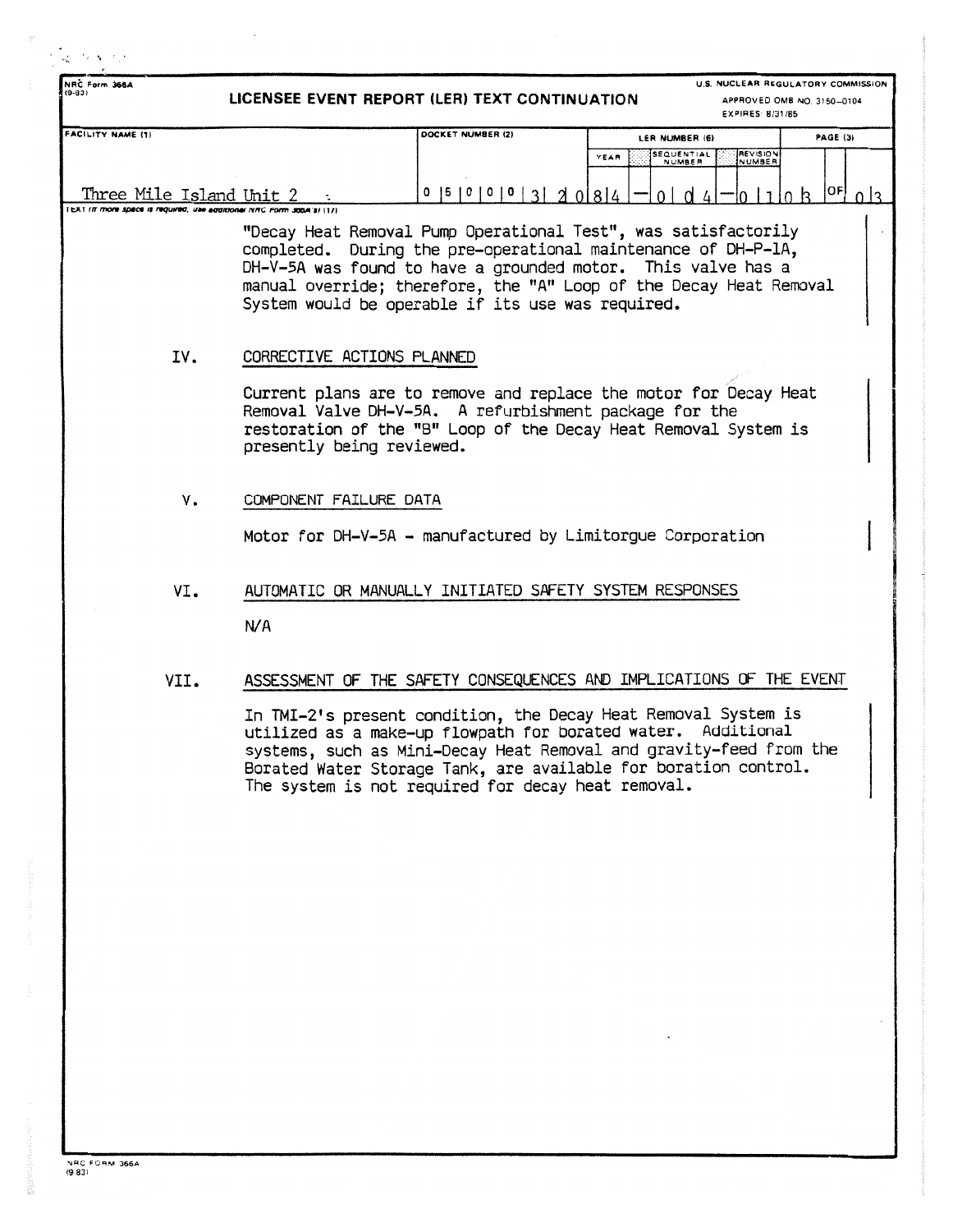| NRC Form 366A                                                                                             |                            |                                                            | U.S. NUCLEAR REGULATORY COMMISSION                                                                                                                                                                                                                                      |                            |  |
|-----------------------------------------------------------------------------------------------------------|----------------------------|------------------------------------------------------------|-------------------------------------------------------------------------------------------------------------------------------------------------------------------------------------------------------------------------------------------------------------------------|----------------------------|--|
| $(9 - 83)$                                                                                                |                            | LICENSEE EVENT REPORT (LER) TEXT CONTINUATION              | EXPIRES: 8/31/85                                                                                                                                                                                                                                                        | APPROVED OMB NO. 3150-0104 |  |
| <b>FACILITY NAME (1)</b>                                                                                  |                            | DOCKET NUMBER (2)                                          | LER NUMBER (6)                                                                                                                                                                                                                                                          | <b>PAGE (3)</b>            |  |
|                                                                                                           |                            |                                                            | SEQUENTIAL<br><b>REVISION</b><br>YEAR<br>NUMBER<br>NUMBER                                                                                                                                                                                                               |                            |  |
| Three Mile Island Unit $2 \cdot$<br>IEAT (If more space is required, use additional NRC Form 300A's) (11) |                            | 0  5  0  0  0  3  2  0  8  4                               | $1 \nvert \nvert$                                                                                                                                                                                                                                                       | OF <br>0 <sup>3</sup>      |  |
|                                                                                                           |                            | System would be operable if its use was required.          | "Decay Heat Removal Pump Operational Test", was satisfactorily<br>completed. During the pre-operational maintenance of DH-P-1A,<br>DH-V-5A was found to have a grounded motor. This valve has a<br>manual override; therefore, the "A" Loop of the Decay Heat Removal   |                            |  |
| IV.                                                                                                       | CORRECTIVE ACTIONS PLANNED |                                                            |                                                                                                                                                                                                                                                                         |                            |  |
|                                                                                                           | presently being reviewed.  | Removal Valve DH-V-5A. A refurbishment package for the     | Current plans are to remove and replace the motor for Decay Heat<br>restoration of the "B" Loop of the Decay Heat Removal System is                                                                                                                                     |                            |  |
| ٧.                                                                                                        | COMPONENT FAILURE DATA     |                                                            |                                                                                                                                                                                                                                                                         |                            |  |
|                                                                                                           |                            | Motor for DH-V-5A - manufactured by Limitorgue Corporation |                                                                                                                                                                                                                                                                         |                            |  |
| VI.                                                                                                       |                            | AUTOMATIC OR MANUALLY INITIATED SAFETY SYSTEM RESPONSES    |                                                                                                                                                                                                                                                                         |                            |  |
|                                                                                                           | N/A                        |                                                            |                                                                                                                                                                                                                                                                         |                            |  |
| VII.                                                                                                      |                            |                                                            | ASSESSMENT OF THE SAFETY CONSEQUENCES AND IMPLICATIONS OF THE EVENT                                                                                                                                                                                                     |                            |  |
|                                                                                                           |                            | The system is not required for decay heat removal.         | In TMI-2's present condition, the Decay Heat Removal System is<br>utilized as a make-up flowpath for borated water. Additional<br>systems, such as Mini-Decay Heat Removal and gravity-feed from the<br>Borated Water Storage Tank, are available for boration control. |                            |  |
|                                                                                                           |                            |                                                            |                                                                                                                                                                                                                                                                         |                            |  |
|                                                                                                           |                            |                                                            |                                                                                                                                                                                                                                                                         |                            |  |
|                                                                                                           |                            |                                                            |                                                                                                                                                                                                                                                                         |                            |  |
|                                                                                                           |                            |                                                            |                                                                                                                                                                                                                                                                         |                            |  |
|                                                                                                           |                            |                                                            |                                                                                                                                                                                                                                                                         |                            |  |
|                                                                                                           |                            |                                                            |                                                                                                                                                                                                                                                                         |                            |  |